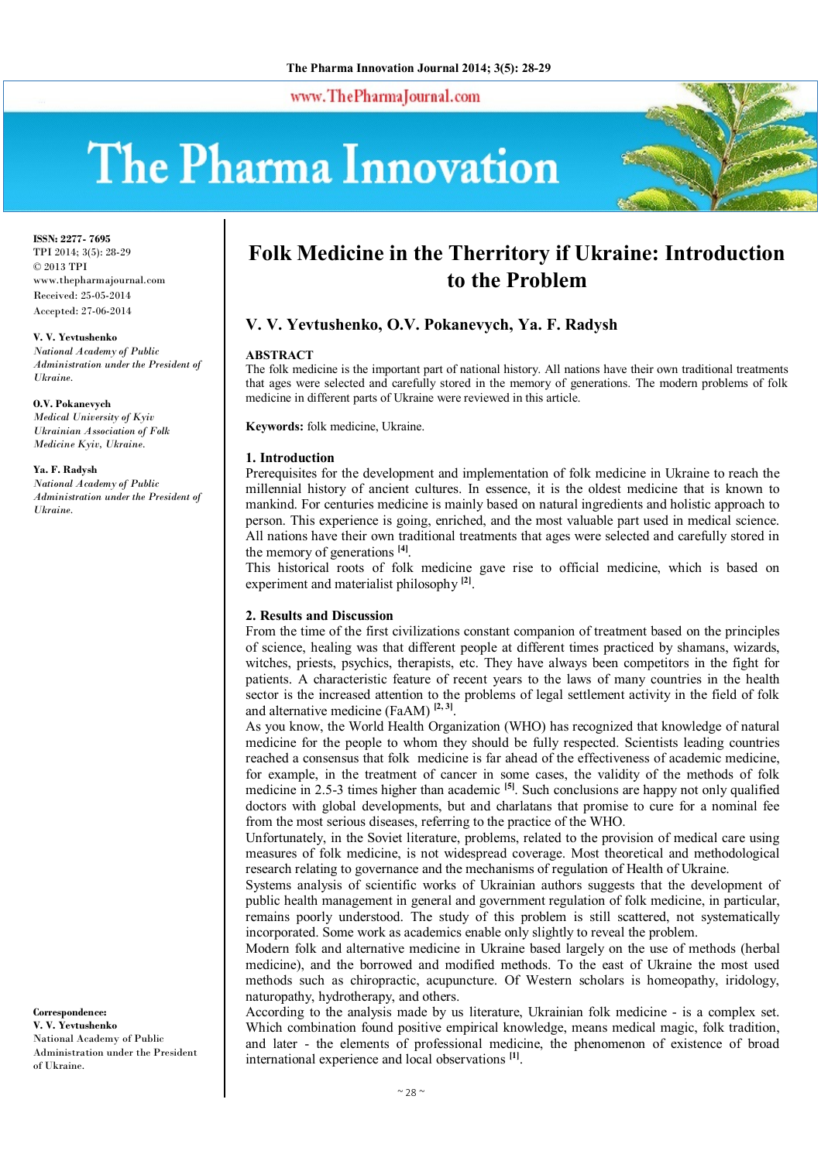www.ThePharmaJournal.com

# The Pharma Innovation



**ISSN: 2277- 7695** TPI 2014; 3(5): 28-29 © 2013 TPI www.thepharmajournal.com Received: 25-05-2014 Accepted: 27-06-2014

**V. V. Yevtushenko** *National Academy of Public Administration under the President of Ukraine.*

**O.V. Pokanevych** *Medical University of Kyiv Ukrainian Association of Folk Medicine Kyiv, Ukraine.*

**Ya. F. Radysh** *National Academy of Public Administration under the President of* 

*Ukraine.*

## **Correspondence:**

**V. V. Yevtushenko** National Academy of Public Administration under the President of Ukraine.

# **Folk Medicine in the Therritory if Ukraine: Introduction to the Problem**

# **V. V. Yevtushenko, O.V. Pokanevych, Ya. F. Radysh**

#### **ABSTRACT**

The folk medicine is the important part of national history. All nations have their own traditional treatments that ages were selected and carefully stored in the memory of generations. The modern problems of folk medicine in different parts of Ukraine were reviewed in this article.

**Keywords:** folk medicine, Ukraine.

#### **1. Introduction**

Prerequisites for the development and implementation of folk medicine in Ukraine to reach the millennial history of ancient cultures. In essence, it is the oldest medicine that is known to mankind. For centuries medicine is mainly based on natural ingredients and holistic approach to person. This experience is going, enriched, and the most valuable part used in medical science. All nations have their own traditional treatments that ages were selected and carefully stored in the memory of generations **[4]** .

This historical roots of folk medicine gave rise to official medicine, which is based on experiment and materialist philosophy **[2]** .

#### **2. Results and Discussion**

From the time of the first civilizations constant companion of treatment based on the principles of science, healing was that different people at different times practiced by shamans, wizards, witches, priests, psychics, therapists, etc. They have always been competitors in the fight for patients. A characteristic feature of recent years to the laws of many countries in the health sector is the increased attention to the problems of legal settlement activity in the field of folk and alternative medicine (FaAM) **[2, 3]** .

As you know, the World Health Organization (WHO) has recognized that knowledge of natural medicine for the people to whom they should be fully respected. Scientists leading countries reached a consensus that folk medicine is far ahead of the effectiveness of academic medicine, for example, in the treatment of cancer in some cases, the validity of the methods of folk medicine in 2.5-3 times higher than academic <sup>[5]</sup>. Such conclusions are happy not only qualified doctors with global developments, but and charlatans that promise to cure for a nominal fee from the most serious diseases, referring to the practice of the WHO.

Unfortunately, in the Soviet literature, problems, related to the provision of medical care using measures of folk medicine, is not widespread coverage. Most theoretical and methodological research relating to governance and the mechanisms of regulation of Health of Ukraine.

Systems analysis of scientific works of Ukrainian authors suggests that the development of public health management in general and government regulation of folk medicine, in particular, remains poorly understood. The study of this problem is still scattered, not systematically incorporated. Some work as academics enable only slightly to reveal the problem.

Modern folk and alternative medicine in Ukraine based largely on the use of methods (herbal medicine), and the borrowed and modified methods. To the east of Ukraine the most used methods such as chiropractic, acupuncture. Of Western scholars is homeopathy, iridology, naturopathy, hydrotherapy, and others.

According to the analysis made by us literature, Ukrainian folk medicine - is a complex set. Which combination found positive empirical knowledge, means medical magic, folk tradition, and later - the elements of professional medicine, the phenomenon of existence of broad international experience and local observations **[1]** .